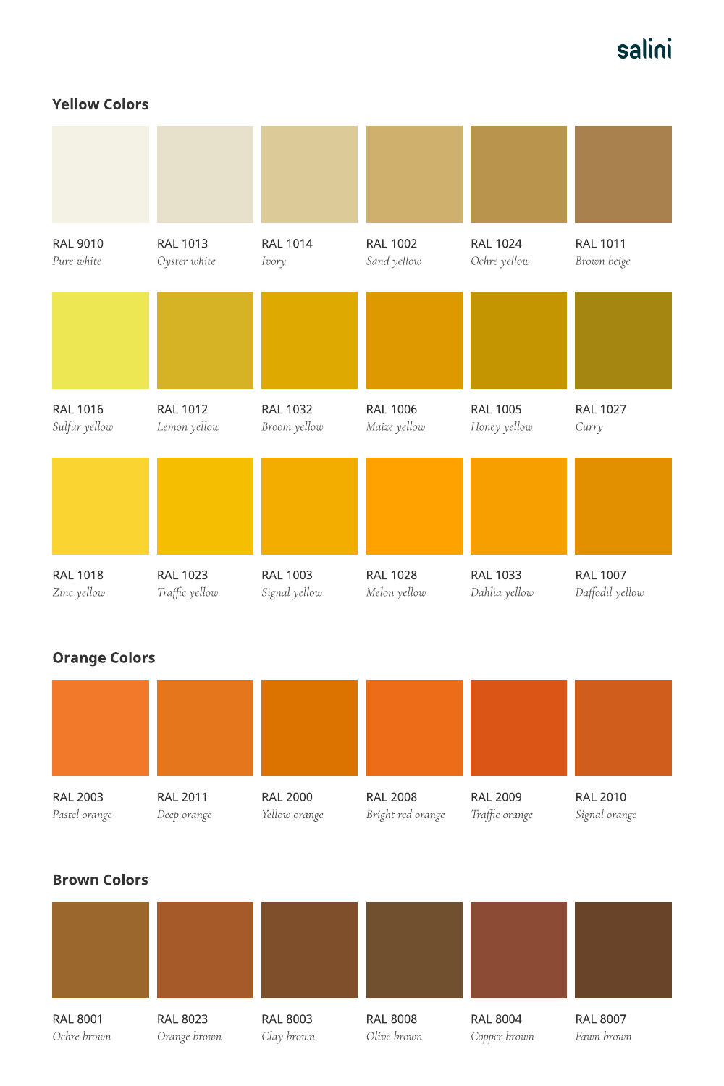### Yellow Colors

### Orange Colors

# salini

| <b>RAL 9010</b> | <b>RAL 1013</b> | <b>RAL 1014</b> | <b>RAL 1002</b> | <b>RAL 1024</b> | <b>RAL 1011</b> |
|-----------------|-----------------|-----------------|-----------------|-----------------|-----------------|
| Pure white      | Oyster white    | Ivory           | Sand yellow     | Ochre yellow    | Brown beige     |
|                 |                 |                 |                 |                 |                 |
| <b>RAL 1016</b> | <b>RAL 1012</b> | <b>RAL 1032</b> | <b>RAL 1006</b> | <b>RAL 1005</b> | <b>RAL 1027</b> |
| Sulfur yellow   | Lemon yellow    | Broom yellow    | Maize yellow    | Honey yellow    | Curry           |
|                 |                 |                 |                 |                 |                 |
| <b>RAL 1018</b> | <b>RAL 1023</b> | <b>RAL 1003</b> | <b>RAL 1028</b> | <b>RAL 1033</b> | <b>RAL 1007</b> |
| Zinc yellow     | Traffic yellow  | Signal yellow   | Melon yellow    | Dahlia yellow   | Daffodil yellow |

| <b>RAL 2003</b><br>Pastel orange | <b>RAL 2011</b><br>Deep orange  | <b>RAL 2000</b><br>Yellow orange | <b>RAL 2008</b><br>Bright red orange | <b>RAL 2009</b><br>Traffic orange | <b>RAL 2010</b><br>Signal orange |  |  |
|----------------------------------|---------------------------------|----------------------------------|--------------------------------------|-----------------------------------|----------------------------------|--|--|
| <b>Brown Colors</b>              |                                 |                                  |                                      |                                   |                                  |  |  |
|                                  |                                 |                                  |                                      |                                   |                                  |  |  |
|                                  |                                 |                                  |                                      |                                   |                                  |  |  |
| <b>RAL 8001</b><br>Ochre brown   | <b>RAL 8023</b><br>Orange brown | <b>RAL 8003</b><br>Clay brown    | <b>RAL 8008</b><br>Olive brown       | <b>RAL 8004</b><br>Copper brown   | <b>RAL 8007</b><br>Fawn brown    |  |  |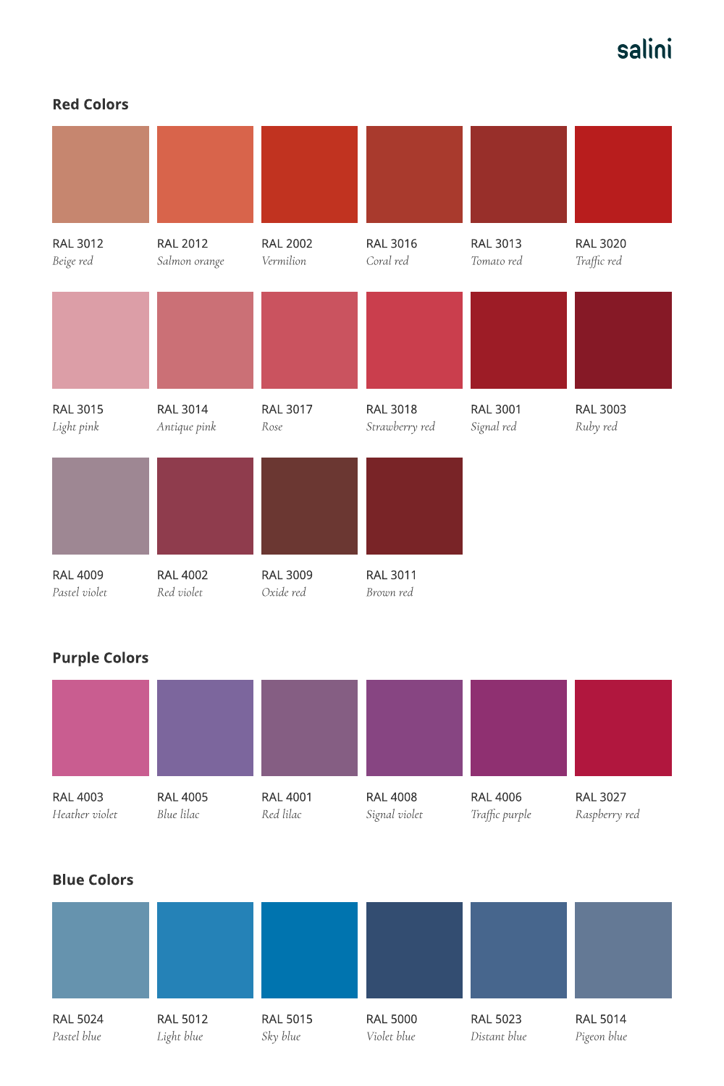#### Red Colors

## Purple Colors

# salini

| <b>RAL 3012</b><br>Beige red     | <b>RAL 2012</b><br>Salmon orange | <b>RAL 2002</b><br>Vermilion | <b>RAL 3016</b><br>Coral red      | <b>RAL 3013</b><br>Tomato red | <b>RAL 3020</b><br>Traffic red |
|----------------------------------|----------------------------------|------------------------------|-----------------------------------|-------------------------------|--------------------------------|
|                                  |                                  |                              |                                   |                               |                                |
| <b>RAL 3015</b><br>Light pink    | <b>RAL 3014</b><br>Antique pink  | <b>RAL 3017</b><br>Rose      | <b>RAL 3018</b><br>Strawberry red | <b>RAL 3001</b><br>Signal red | <b>RAL 3003</b><br>Ruby red    |
|                                  |                                  |                              |                                   |                               |                                |
| <b>RAL 4009</b><br>Pastel violet | <b>RAL 4002</b><br>Red violet    | <b>RAL 3009</b><br>Oxide red | <b>RAL 3011</b><br>Brown red      |                               |                                |

| <b>RAL 4003</b><br>Heather violet | <b>RAL 4005</b><br>Blue lilac | <b>RAL 4001</b><br>Red lilac | <b>RAL 4008</b><br>Signal violet | <b>RAL 4006</b><br>Traffic purple | <b>RAL 3027</b><br>Raspberry red |
|-----------------------------------|-------------------------------|------------------------------|----------------------------------|-----------------------------------|----------------------------------|
| <b>Blue Colors</b>                |                               |                              |                                  |                                   |                                  |
|                                   |                               |                              |                                  |                                   |                                  |
|                                   |                               |                              |                                  |                                   |                                  |
| <b>RAL 5024</b><br>Pastel blue    | <b>RAL 5012</b><br>Light blue | <b>RAL 5015</b><br>Sky blue  | <b>RAL 5000</b><br>Violet blue   | <b>RAL 5023</b><br>Distant blue   | <b>RAL 5014</b><br>Pigeon blue   |